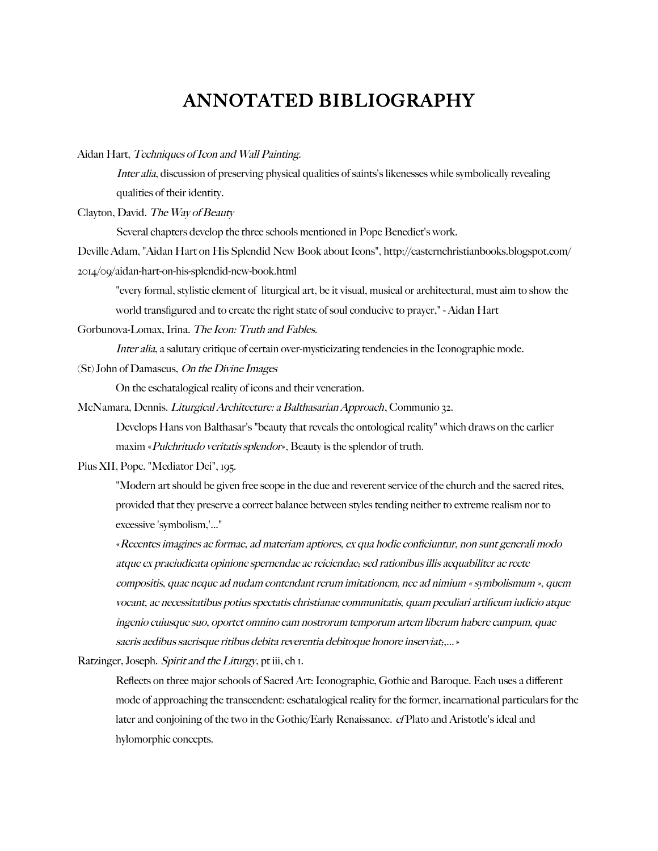## ANNOTATED BIBLIOGRAPHY

Aidan Hart, Techniques of Icon and Wall Painting.

Inter alia, discussion of preserving physical qualities of saints's likenesses while symbolically revealing qualities of their identity.

Clayton, David. The Way of Beauty

Several chapters develop the three schools mentioned in Pope Benedict's work.

Deville Adam, "Aidan Hart on His Splendid New Book about Icons", http://easternchristianbooks.blogspot.com/ 2014/09/aidan-hart-on-his-splendid-new-book.html

"every formal, stylistic element of liturgical art, be it visual, musical or architectural, must aim to show the

world transfigured and to create the right state of soul conducive to prayer," - Aidan Hart

Gorbunova-Lomax, Irina. The Icon: Truth and Fables.

Inter alia, a salutary critique of certain over-mysticizating tendencies in the Iconographic mode.

(St) John of Damascus, On the Divine Images

On the eschatalogical reality of icons and their veneration.

McNamara, Dennis. Liturgical Architecture: a Balthasarian Approach, Communio 32.

Develops Hans von Balthasar's "beauty that reveals the ontological reality" which draws on the earlier maxim «Pulchritudo veritatis splendor», Beauty is the splendor of truth.

Pius XII, Pope. "Mediator Dei", 195.

"Modern art should be given free scope in the due and reverent service of the church and the sacred rites, provided that they preserve a correct balance between styles tending neither to extreme realism nor to excessive 'symbolism,'..."

«Recentes imagines ac formae, ad materiam aptiores, ex qua hodie conficiuntur, non sunt generali modo atque ex praeiudicata opinione spernendae ac reiciendae; sed rationibus illis aequabiliter ac recte compositis, quae neque ad nudam contendant rerum imitationem, nec ad nimium « symbolismum », quem vocant, ac necessitatibus potius spectatis christianae communitatis, quam peculiari artificum iudicio atque ingenio cuiusque suo, oportet omnino eam nostrorum temporum artem liberum habere campum, quae sacris aedibus sacrisque ritibus debita reverentia debitoque honore inserviat;,...»

Ratzinger, Joseph. Spirit and the Liturgy, pt iii, ch I.

Reflects on three major schools of Sacred Art: Iconographic, Gothic and Baroque. Each uses a different mode of approaching the transcendent: eschatalogical reality for the former, incarnational particulars for the later and conjoining of the two in the Gothic/Early Renaissance. cf Plato and Aristotle's ideal and hylomorphic concepts.